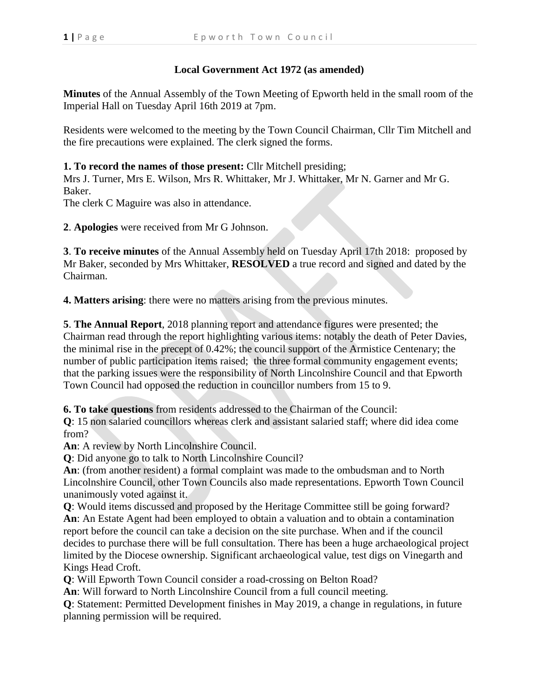## **Local Government Act 1972 (as amended)**

**Minutes** of the Annual Assembly of the Town Meeting of Epworth held in the small room of the Imperial Hall on Tuesday April 16th 2019 at 7pm.

Residents were welcomed to the meeting by the Town Council Chairman, Cllr Tim Mitchell and the fire precautions were explained. The clerk signed the forms.

**1. To record the names of those present:** Cllr Mitchell presiding;

Mrs J. Turner, Mrs E. Wilson, Mrs R. Whittaker, Mr J. Whittaker, Mr N. Garner and Mr G. Baker.

The clerk C Maguire was also in attendance.

**2**. **Apologies** were received from Mr G Johnson.

**3**. **To receive minutes** of the Annual Assembly held on Tuesday April 17th 2018: proposed by Mr Baker, seconded by Mrs Whittaker, **RESOLVED** a true record and signed and dated by the Chairman.

**4. Matters arising**: there were no matters arising from the previous minutes.

**5**. **The Annual Report**, 2018 planning report and attendance figures were presented; the Chairman read through the report highlighting various items: notably the death of Peter Davies, the minimal rise in the precept of 0.42%; the council support of the Armistice Centenary; the number of public participation items raised; the three formal community engagement events; that the parking issues were the responsibility of North Lincolnshire Council and that Epworth Town Council had opposed the reduction in councillor numbers from 15 to 9.

**6. To take questions** from residents addressed to the Chairman of the Council:

**Q**: 15 non salaried councillors whereas clerk and assistant salaried staff; where did idea come from?

**An**: A review by North Lincolnshire Council.

**Q**: Did anyone go to talk to North Lincolnshire Council?

**An**: (from another resident) a formal complaint was made to the ombudsman and to North Lincolnshire Council, other Town Councils also made representations. Epworth Town Council unanimously voted against it.

**Q**: Would items discussed and proposed by the Heritage Committee still be going forward? **An**: An Estate Agent had been employed to obtain a valuation and to obtain a contamination report before the council can take a decision on the site purchase. When and if the council decides to purchase there will be full consultation. There has been a huge archaeological project limited by the Diocese ownership. Significant archaeological value, test digs on Vinegarth and Kings Head Croft.

**Q**: Will Epworth Town Council consider a road-crossing on Belton Road?

**An**: Will forward to North Lincolnshire Council from a full council meeting.

**Q**: Statement: Permitted Development finishes in May 2019, a change in regulations, in future planning permission will be required.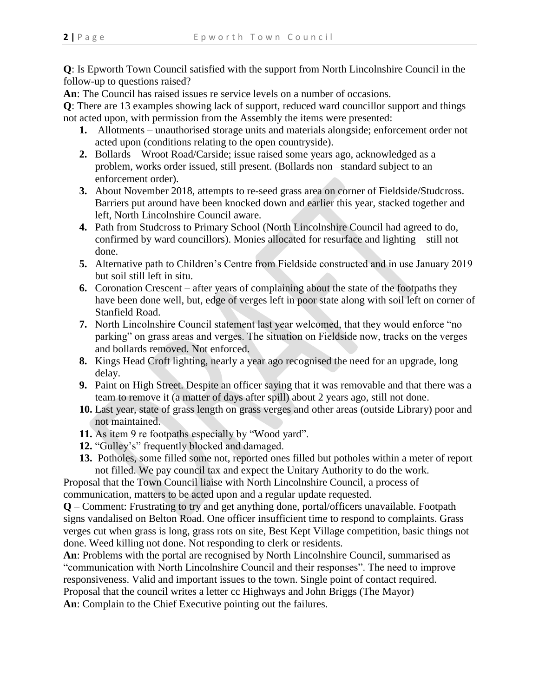**Q**: Is Epworth Town Council satisfied with the support from North Lincolnshire Council in the follow-up to questions raised?

**An**: The Council has raised issues re service levels on a number of occasions.

**Q**: There are 13 examples showing lack of support, reduced ward councillor support and things not acted upon, with permission from the Assembly the items were presented:

- **1.** Allotments unauthorised storage units and materials alongside; enforcement order not acted upon (conditions relating to the open countryside).
- **2.** Bollards Wroot Road/Carside; issue raised some years ago, acknowledged as a problem, works order issued, still present. (Bollards non –standard subject to an enforcement order).
- **3.** About November 2018, attempts to re-seed grass area on corner of Fieldside/Studcross. Barriers put around have been knocked down and earlier this year, stacked together and left, North Lincolnshire Council aware.
- **4.** Path from Studcross to Primary School (North Lincolnshire Council had agreed to do, confirmed by ward councillors). Monies allocated for resurface and lighting – still not done.
- **5.** Alternative path to Children's Centre from Fieldside constructed and in use January 2019 but soil still left in situ.
- **6.** Coronation Crescent after years of complaining about the state of the footpaths they have been done well, but, edge of verges left in poor state along with soil left on corner of Stanfield Road.
- **7.** North Lincolnshire Council statement last year welcomed, that they would enforce "no parking" on grass areas and verges. The situation on Fieldside now, tracks on the verges and bollards removed. Not enforced.
- **8.** Kings Head Croft lighting, nearly a year ago recognised the need for an upgrade, long delay.
- **9.** Paint on High Street. Despite an officer saying that it was removable and that there was a team to remove it (a matter of days after spill) about 2 years ago, still not done.
- **10.** Last year, state of grass length on grass verges and other areas (outside Library) poor and not maintained.
- **11.** As item 9 re footpaths especially by "Wood yard".
- **12.** "Gulley's" frequently blocked and damaged.
- **13.** Potholes, some filled some not, reported ones filled but potholes within a meter of report not filled. We pay council tax and expect the Unitary Authority to do the work.

Proposal that the Town Council liaise with North Lincolnshire Council, a process of communication, matters to be acted upon and a regular update requested.

**Q** – Comment: Frustrating to try and get anything done, portal/officers unavailable. Footpath signs vandalised on Belton Road. One officer insufficient time to respond to complaints. Grass verges cut when grass is long, grass rots on site, Best Kept Village competition, basic things not done. Weed killing not done. Not responding to clerk or residents.

**An**: Problems with the portal are recognised by North Lincolnshire Council, summarised as "communication with North Lincolnshire Council and their responses". The need to improve responsiveness. Valid and important issues to the town. Single point of contact required. Proposal that the council writes a letter cc Highways and John Briggs (The Mayor) **An**: Complain to the Chief Executive pointing out the failures.